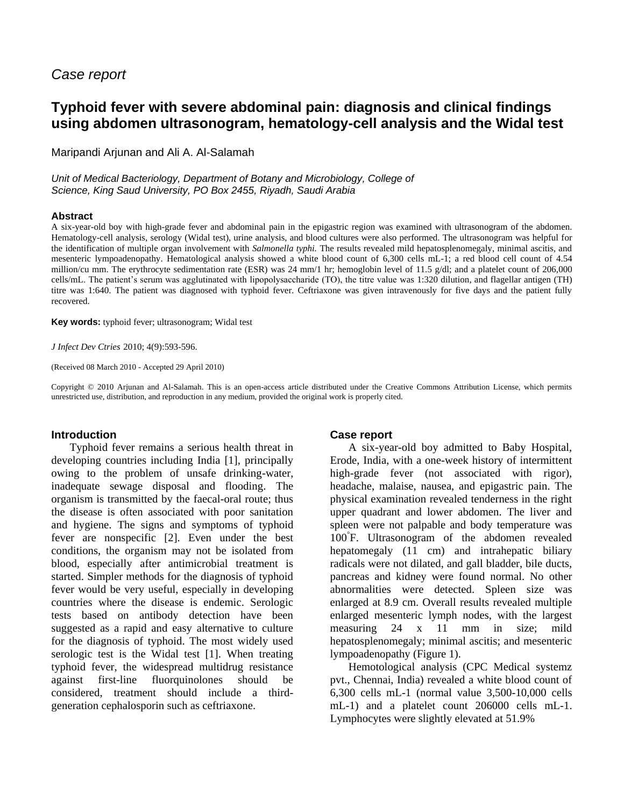## *Case report*

# **Typhoid fever with severe abdominal pain: diagnosis and clinical findings using abdomen ultrasonogram, hematology-cell analysis and the Widal test**

Maripandi Arjunan and Ali A. Al-Salamah

*Unit of Medical Bacteriology, Department of Botany and Microbiology, College of Science, King Saud University, PO Box 2455, Riyadh, Saudi Arabia*

### **Abstract**

A six-year-old boy with high-grade fever and abdominal pain in the epigastric region was examined with ultrasonogram of the abdomen. Hematology-cell analysis, serology (Widal test), urine analysis, and blood cultures were also performed. The ultrasonogram was helpful for the identification of multiple organ involvement with *Salmonella typhi.* The results revealed mild hepatosplenomegaly, minimal ascitis, and mesenteric lympoadenopathy. Hematological analysis showed a white blood count of 6,300 cells mL-1; a red blood cell count of 4.54 million/cu mm. The erythrocyte sedimentation rate (ESR) was 24 mm/1 hr; hemoglobin level of 11.5 g/dl; and a platelet count of 206,000 cells/mL. The patient's serum was agglutinated with lipopolysaccharide (TO), the titre value was 1:320 dilution, and flagellar antigen (TH) titre was 1:640. The patient was diagnosed with typhoid fever. Ceftriaxone was given intravenously for five days and the patient fully recovered.

**Key words:** typhoid fever; ultrasonogram; Widal test

*J Infect Dev Ctries* 2010; 4(9):593-596.

(Received 08 March 2010 - Accepted 29 April 2010)

Copyright © 2010 Arjunan and Al-Salamah. This is an open-access article distributed under the Creative Commons Attribution License, which permits unrestricted use, distribution, and reproduction in any medium, provided the original work is properly cited.

## **Introduction**

Typhoid fever remains a serious health threat in developing countries including India [1], principally owing to the problem of unsafe drinking-water, inadequate sewage disposal and flooding. The organism is transmitted by the faecal-oral route; thus the disease is often associated with poor sanitation and hygiene. The signs and symptoms of typhoid fever are nonspecific [2]. Even under the best conditions, the organism may not be isolated from blood, especially after antimicrobial treatment is started. Simpler methods for the diagnosis of typhoid fever would be very useful, especially in developing countries where the disease is endemic. Serologic tests based on antibody detection have been suggested as a rapid and easy alternative to culture for the diagnosis of typhoid. The most widely used serologic test is the Widal test [1]. When treating typhoid fever, the widespread multidrug resistance against first-line fluorquinolones should be considered, treatment should include a thirdgeneration cephalosporin such as ceftriaxone.

## **Case report**

A six-year-old boy admitted to Baby Hospital, Erode, India, with a one-week history of intermittent high-grade fever (not associated with rigor), headache, malaise, nausea, and epigastric pain. The physical examination revealed tenderness in the right upper quadrant and lower abdomen. The liver and spleen were not palpable and body temperature was 100° F. Ultrasonogram of the abdomen revealed hepatomegaly (11 cm) and intrahepatic biliary radicals were not dilated, and gall bladder, bile ducts, pancreas and kidney were found normal. No other abnormalities were detected. Spleen size was enlarged at 8.9 cm. Overall results revealed multiple enlarged mesenteric lymph nodes, with the largest measuring 24 x 11 mm in size; mild hepatosplenomegaly; minimal ascitis; and mesenteric lympoadenopathy (Figure 1).

Hemotological analysis (CPC Medical systemz pvt., Chennai, India) revealed a white blood count of 6,300 cells mL-1 (normal value 3,500-10,000 cells mL-1) and a platelet count 206000 cells mL-1. Lymphocytes were slightly elevated at 51.9%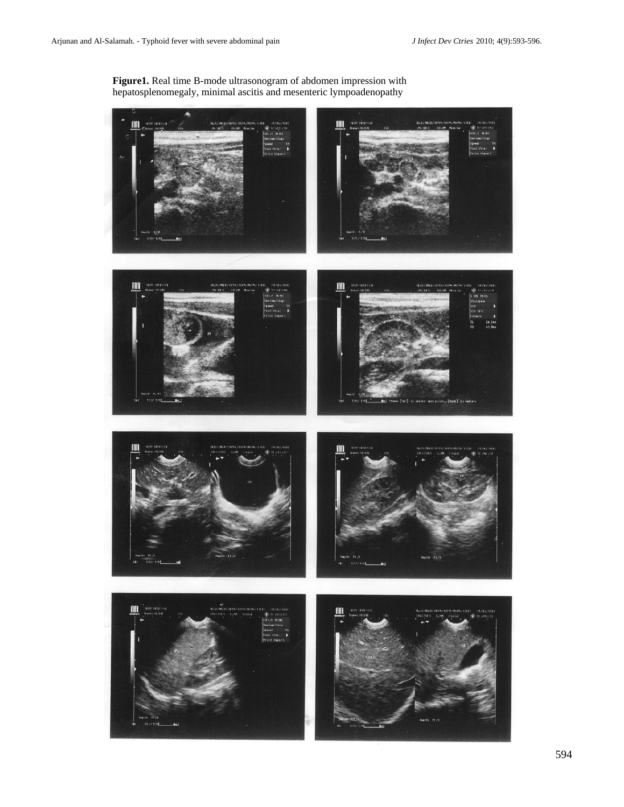

**Figure1.** Real time B-mode ultrasonogram of abdomen impression with hepatosplenomegaly, minimal ascitis and mesenteric lympoadenopathy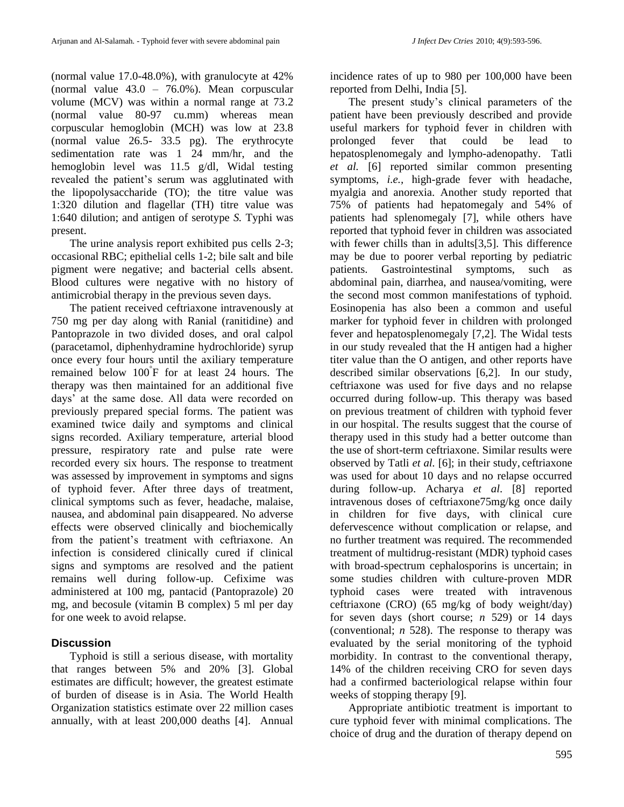(normal value 17.0-48.0%), with granulocyte at 42% (normal value 43.0 – 76.0%). Mean corpuscular volume (MCV) was within a normal range at 73.2 (normal value 80-97 cu.mm) whereas mean corpuscular hemoglobin (MCH) was low at 23.8 (normal value 26.5- 33.5 pg). The erythrocyte sedimentation rate was 1 24 mm/hr, and the hemoglobin level was 11.5 g/dl, Widal testing revealed the patient's serum was agglutinated with the lipopolysaccharide (TO); the titre value was 1:320 dilution and flagellar (TH) titre value was 1:640 dilution; and antigen of serotype *S.* Typhi was present.

The urine analysis report exhibited pus cells 2-3; occasional RBC; epithelial cells 1-2; bile salt and bile pigment were negative; and bacterial cells absent. Blood cultures were negative with no history of antimicrobial therapy in the previous seven days.

The patient received ceftriaxone intravenously at 750 mg per day along with Ranial (ranitidine) and Pantoprazole in two divided doses, and oral calpol (paracetamol, diphenhydramine hydrochloride) syrup once every four hours until the axiliary temperature remained below 100° F for at least 24 hours. The therapy was then maintained for an additional five days' at the same dose. All data were recorded on previously prepared special forms. The patient was examined twice daily and symptoms and clinical signs recorded. Axiliary temperature, arterial blood pressure, respiratory rate and pulse rate were recorded every six hours. The response to treatment was assessed by improvement in symptoms and signs of typhoid fever. After three days of treatment, clinical symptoms such as fever, headache, malaise, nausea, and abdominal pain disappeared. No adverse effects were observed clinically and biochemically from the patient's treatment with ceftriaxone. An infection is considered clinically cured if clinical signs and symptoms are resolved and the patient remains well during follow-up. Cefixime was administered at 100 mg, pantacid (Pantoprazole) 20 mg, and becosule (vitamin B complex) 5 ml per day for one week to avoid relapse.

## **Discussion**

Typhoid is still a serious disease, with mortality that ranges between 5% and 20% [3]. Global estimates are difficult; however, the greatest estimate of burden of disease is in Asia. The World Health Organization statistics estimate over 22 million cases annually, with at least 200,000 deaths [4]. Annual incidence rates of up to 980 per 100,000 have been reported from Delhi, India [5].

The present study's clinical parameters of the patient have been previously described and provide useful markers for typhoid fever in children with prolonged fever that could be lead to hepatosplenomegaly and lympho-adenopathy. Tatli *et al.* [6] reported similar common presenting symptoms, *i.e.,* high-grade fever with headache, myalgia and anorexia. Another study reported that 75% of patients had hepatomegaly and 54% of patients had splenomegaly [7], while others have reported that typhoid fever in children was associated with fewer chills than in adults[3,5]. This difference may be due to poorer verbal reporting by pediatric patients. Gastrointestinal symptoms, such as abdominal pain, diarrhea, and nausea/vomiting, were the second most common manifestations of typhoid. Eosinopenia has also been a common and useful marker for typhoid fever in children with prolonged fever and hepatosplenomegaly [7,2]. The Widal tests in our study revealed that the H antigen had a higher titer value than the O antigen, and other reports have described similar observations [6,2]. In our study, ceftriaxone was used for five days and no relapse occurred during follow-up. This therapy was based on previous treatment of children with typhoid fever in our hospital. The results suggest that the course of therapy used in this study had a better outcome than the use of short-term ceftriaxone. Similar results were observed by Tatli *et al.* [6]; in their study, ceftriaxone was used for about 10 days and no relapse occurred during follow-up. Acharya *et al*. [8] reported intravenous doses of ceftriaxone75mg/kg once daily in children for five days, with clinical cure defervescence without complication or relapse, and no further treatment was required. The recommended treatment of multidrug-resistant (MDR) typhoid cases with broad-spectrum cephalosporins is uncertain; in some studies children with culture-proven MDR typhoid cases were treated with intravenous ceftriaxone (CRO) (65 mg/kg of body weight/day) for seven days (short course; *n* 529) or 14 days (conventional; *n* 528). The response to therapy was evaluated by the serial monitoring of the typhoid morbidity. In contrast to the conventional therapy, 14% of the children receiving CRO for seven days had a confirmed bacteriological relapse within four weeks of stopping therapy [9].

Appropriate antibiotic treatment is important to cure typhoid fever with minimal complications. The choice of drug and the duration of therapy depend on